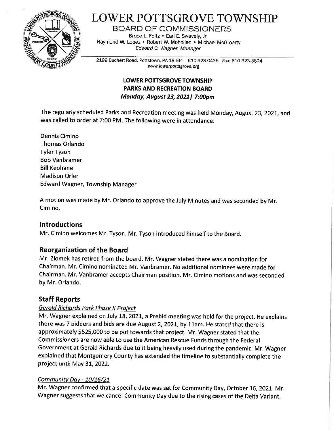

# LOWER POTTSGROVE TOWNSHIP

BOARD OF COMMISSIONERS

Bruce L. Foltz • Earl E. Swavely, Jr. Raymond W. Lopez • Robert W. Mohollen • Michael McGroarty Edward C. Wagner, Manager

2199 Buchert Road, Pottstown, PA 19464 610-323-0436 Fax: 610-323-3824 www.lowerpottsgrove.org

## LOWER POTTSGROVE TOWNSHIP PARKS AND RECREATION BOARD Monday, August 23, 2021 | 7:00pm

The regularly scheduled Parks and Recreation meeting was held Monday, August 23, 2021, and was called to order at 7:00 PM. The following were in attendance:

Dennis Cimino Thomas Orlando Tyler Tyson Bob Vanbramer Bill Keohane Madison Orler Edward Wagner, Township Manager

A motion was made by Mr. Orlando to approve the July Minutes and was seconded by Mr. Cimino.

## Introductions

Mr. Cimino welcomes Mr. Tyson. Mr. Tyson introduced himself to the Board.

## Reorganization of the Board

Mr. Zlomek has retired from the board. Mr. Wagner stated there was a nomination for Chairman. Mr. Cimino nominated Mr. Vanbramer. No additional nominees were made for Chairman. Mr. Vanbramer accepts Chairman position. Mr. Cimino motions and was seconded by Mr. Orlando.

## Staff Reports

### Gerald Richards Park Phase II Project

Mr. Wagner explained on July 18, 2021, a Prebid meeting was held for the project. He explains there was 7 bidders and bids are due August 2, 2021, by llam. He stated that there is approximately \$525,000 to be put towards that project. Mr. Wagner stated that the Commissioners are now able to use the American Rescue Funds through the Federal Government at Gerald Richards due to it being heavily used during the pandemic. Mr. Wagner explained that Montgomery County has extended the timeline to substantially complete the project until May 31, 2022.

### Community Day - 10/16/21

Mr. Wagner confirmed that a specific date was set for Community Day, October 16, 2021. Mr. Wagner suggests that we cancel Community Day due to the rising cases of the Delta Variant.